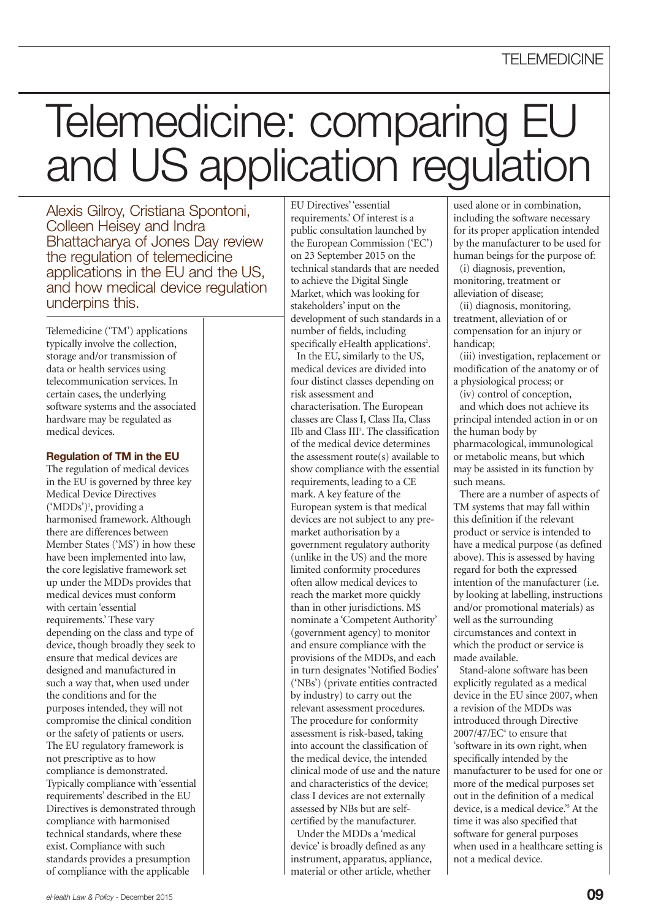# Telemedicine: comparing E and US application regulation

Alexis Gilroy, Cristiana Spontoni, Colleen Heisey and Indra Bhattacharya of Jones Day review the regulation of telemedicine<br>applications in the EU and the US, and how medical device regulation underpins this.

Telemedicine ('TM') applications typically involve the collection, storage and/or transmission of data or health services using telecommunication services. In certain cases, the underlying software systems and the associated hardware may be regulated as medical devices.

#### **Regulation of TM in the EU**

The regulation of medical devices in the EU is governed by three key Medical Device Directives ('MDDs') 1 , providing a harmonised framework. Although there are differences between Member States ('MS') in how these have been implemented into law, the core legislative framework set up under the MDDs provides that medical devices must conform with certain 'essential requirements.' These vary depending on the class and type of device, though broadly they seek to ensure that medical devices are designed and manufactured in such a way that, when used under the conditions and for the purposes intended, they will not compromise the clinical condition or the safety of patients or users. The EU regulatory framework is not prescriptive as to how compliance is demonstrated. Typically compliance with 'essential requirements' described in the EU Directives is demonstrated through compliance with harmonised technical standards, where these exist. Compliance with such standards provides a presumption of compliance with the applicable

EU Directives''essential requirements.' Of interest is a public consultation launched by the European Commission ('EC') on 23 September 2015 on the technical standards that are needed to achieve the Digital Single Market, which was looking for stakeholders' input on the development of such standards in a number of fields, including specifically eHealth applications<sup>2</sup>. In the EU, similarly to the US, medical devices are divided into four distinct classes depending on risk assessment and characterisation. The European classes are Class I, Class IIa, Class IIb and Class III 3 . The classification of the medical device determines the assessment route(s) available to show compliance with the essential requirements, leading to a CE mark. A key feature of the European system is that medical devices are not subject to any premarket authorisation by a government regulatory authority (unlike in the US) and the more limited conformity procedures often allow medical devices to reach the market more quickly than in other jurisdictions. MS nominate a 'Competent Authority' (government agency) to monitor and ensure compliance with the provisions of the MDDs, and each in turn designates'Notified Bodies' ('NBs') (private entities contracted by industry) to carry out the relevant assessment procedures. The procedure for conformity assessment is risk-based, taking into account the classification of the medical device, the intended clinical mode of use and the nature and characteristics of the device; class I devices are not externally assessed by NBs but are selfcertified by the manufacturer.

Under the MDDs a 'medical device' is broadly defined as any instrument, apparatus, appliance, material or other article, whether

used alone or in combination, including the software necessary for its proper application intended by the manufacturer to be used for human beings for the purpose of:

(i) diagnosis, prevention, monitoring, treatment or alleviation of disease;

(ii) diagnosis, monitoring, treatment, alleviation of or compensation for an injury or handicap;

(iii) investigation, replacement or modification of the anatomy or of a physiological process; or

(iv) control of conception, and which does not achieve its principal intended action in or on the human body by pharmacological, immunological or metabolic means, but which may be assisted in its function by such means.

There are a number of aspects of TM systems that may fall within this definition if the relevant product or service is intended to have a medical purpose (as defined above). This is assessed by having regard for both the expressed intention of the manufacturer (i.e. by looking at labelling, instructions and/or promotional materials) as well as the surrounding circumstances and context in which the product or service is made available.

Stand-alone software has been explicitly regulated as a medical device in the EU since 2007, when a revision of the MDDs was introduced through Directive  $2007/47/EC<sup>4</sup>$  to ensure that 'software in its own right, when specifically intended by the manufacturer to be used for one or more of the medical purposes set out in the definition of a medical device, is a medical device.' <sup>5</sup> At the time it was also specified that software for general purposes when used in a healthcare setting is not a medical device.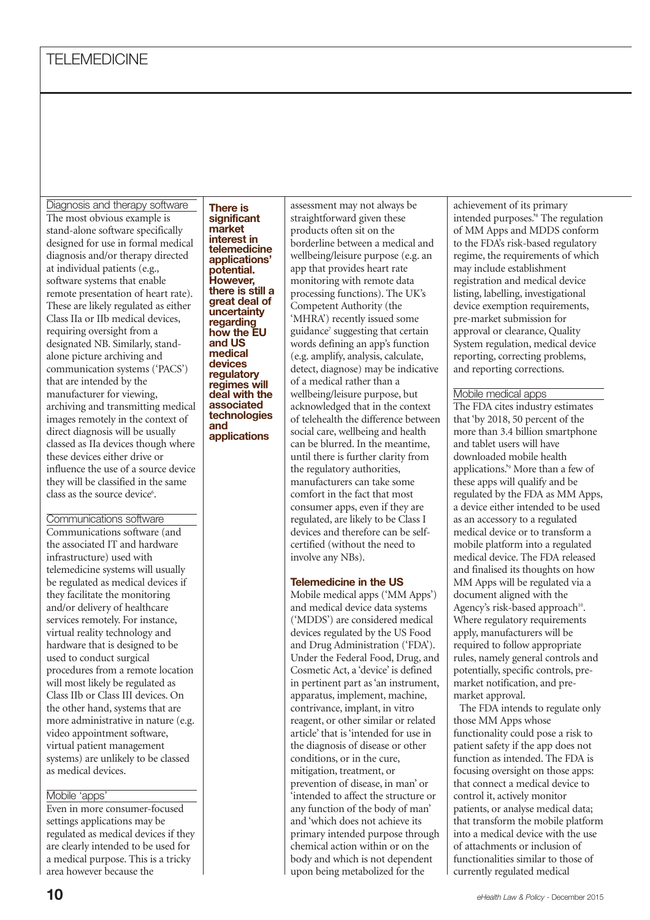Diagnosis and therapy software The most obvious example is stand-alone software specifically designed for use in formal medical diagnosis and/or therapy directed at individual patients (e.g., software systems that enable remote presentation of heart rate). These are likely regulated as either Class IIa or IIb medical devices, requiring oversight from a designated NB. Similarly, standalone picture archiving and communication systems ('PACS') that are intended by the manufacturer for viewing, archiving and transmitting medical images remotely in the context of direct diagnosis will be usually classed as IIa devices though where these devices either drive or influence the use of a source device they will be classified in the same class as the source device<sup>6</sup>.

## Communications software

Communications software (and the associated IT and hardware infrastructure) used with telemedicine systems will usually be regulated as medical devices if they facilitate the monitoring and/or delivery of healthcare services remotely. For instance, virtual reality technology and hardware that is designed to be used to conduct surgical procedures from a remote location will most likely be regulated as Class IIb or Class III devices. On the other hand, systems that are more administrative in nature (e.g. video appointment software, virtual patient management systems) are unlikely to be classed as medical devices.

### Mobile 'apps'

Even in more consumer-focused settings applications may be regulated as medical devices if they are clearly intended to be used for a medical purpose. This is a tricky area however because the

**There is significant market interest in telemedicine applications' potential. However, there is still <sup>a</sup> great deal of uncertainty regarding how the EU and US medical devices regulatory regimes will deal with the associated technologies and applications**

straightforward given these products often sit on the borderline between a medical and wellbeing/leisure purpose (e.g. an app that provides heart rate monitoring with remote data processing functions). The UK's Competent Authority (the 'MHRA') recently issued some guidance<sup>7</sup> suggesting that certain words defining an app's function (e.g. amplify, analysis, calculate, detect, diagnose) may be indicative of a medical rather than a wellbeing/leisure purpose, but acknowledged that in the context of telehealth the difference between social care, wellbeing and health can be blurred. In the meantime, until there is further clarity from the regulatory authorities, manufacturers can take some comfort in the fact that most consumer apps, even if they are regulated, are likely to be Class I devices and therefore can be selfcertified (without the need to

assessment may not always be

### **Telemedicine in the US**

involve any NBs).

Mobile medical apps ('MM Apps') and medical device data systems ('MDDS') are considered medical devices regulated by the US Food and Drug Administration ('FDA'). Under the Federal Food, Drug, and Cosmetic Act, a 'device' is defined in pertinent part as'an instrument, apparatus, implement, machine, contrivance, implant, in vitro reagent, or other similar or related article' that is'intended for use in the diagnosis of disease or other conditions, or in the cure, mitigation, treatment, or prevention of disease, in man' or 'intended to affect the structure or any function of the body of man' and 'which does not achieve its primary intended purpose through chemical action within or on the body and which is not dependent upon being metabolized for the

achievement of its primary intended purposes.' <sup>8</sup> The regulation of MM Apps and MDDS conform to the FDA's risk-based regulatory regime, the requirements of which may include establishment registration and medical device listing, labelling, investigational device exemption requirements, pre-market submission for approval or clearance, Quality System regulation, medical device reporting, correcting problems, and reporting corrections.

### Mobile medical apps

The FDA cites industry estimates that 'by 2018, 50 percent of the more than 3.4 billion smartphone and tablet users will have downloaded mobile health applications.' <sup>9</sup> More than a few of these apps will qualify and be regulated by the FDA as MM Apps, a device either intended to be used as an accessory to a regulated medical device or to transform a mobile platform into a regulated medical device. The FDA released and finalised its thoughts on how MM Apps will be regulated via a document aligned with the Agency's risk-based approach<sup>10</sup>. Where regulatory requirements apply, manufacturers will be required to follow appropriate rules, namely general controls and potentially, specific controls, premarket notification, and premarket approval.

The FDA intends to regulate only those MM Apps whose functionality could pose a risk to patient safety if the app does not function as intended. The FDA is focusing oversight on those apps: that connect a medical device to control it, actively monitor patients, or analyse medical data; that transform the mobile platform into a medical device with the use of attachments or inclusion of functionalities similar to those of currently regulated medical